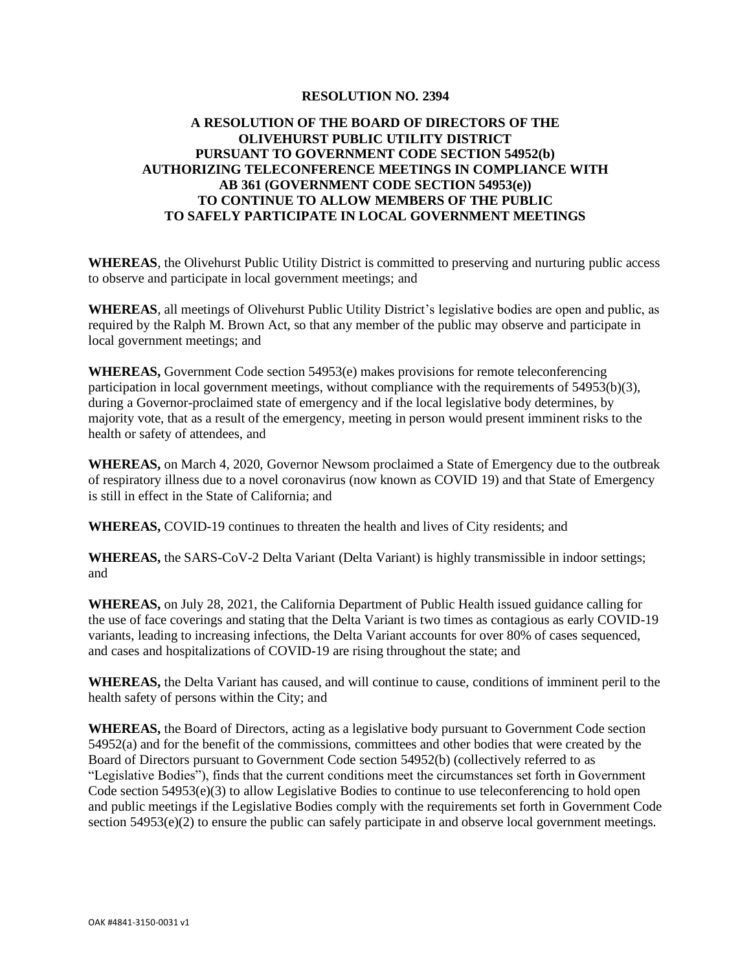## **RESOLUTION NO. 2394**

## **A RESOLUTION OF THE BOARD OF DIRECTORS OF THE OLIVEHURST PUBLIC UTILITY DISTRICT PURSUANT TO GOVERNMENT CODE SECTION 54952(b) AUTHORIZING TELECONFERENCE MEETINGS IN COMPLIANCE WITH AB 361 (GOVERNMENT CODE SECTION 54953(e)) TO CONTINUE TO ALLOW MEMBERS OF THE PUBLIC TO SAFELY PARTICIPATE IN LOCAL GOVERNMENT MEETINGS**

**WHEREAS**, the Olivehurst Public Utility District is committed to preserving and nurturing public access to observe and participate in local government meetings; and

**WHEREAS**, all meetings of Olivehurst Public Utility District's legislative bodies are open and public, as required by the Ralph M. Brown Act, so that any member of the public may observe and participate in local government meetings; and

**WHEREAS,** Government Code section 54953(e) makes provisions for remote teleconferencing participation in local government meetings, without compliance with the requirements of 54953(b)(3), during a Governor-proclaimed state of emergency and if the local legislative body determines, by majority vote, that as a result of the emergency, meeting in person would present imminent risks to the health or safety of attendees, and

**WHEREAS,** on March 4, 2020, Governor Newsom proclaimed a State of Emergency due to the outbreak of respiratory illness due to a novel coronavirus (now known as COVID 19) and that State of Emergency is still in effect in the State of California; and

**WHEREAS,** COVID-19 continues to threaten the health and lives of City residents; and

**WHEREAS,** the SARS-CoV-2 Delta Variant (Delta Variant) is highly transmissible in indoor settings; and

**WHEREAS,** on July 28, 2021, the California Department of Public Health issued guidance calling for the use of face coverings and stating that the Delta Variant is two times as contagious as early COVID-19 variants, leading to increasing infections, the Delta Variant accounts for over 80% of cases sequenced, and cases and hospitalizations of COVID-19 are rising throughout the state; and

**WHEREAS,** the Delta Variant has caused, and will continue to cause, conditions of imminent peril to the health safety of persons within the City; and

**WHEREAS,** the Board of Directors, acting as a legislative body pursuant to Government Code section 54952(a) and for the benefit of the commissions, committees and other bodies that were created by the Board of Directors pursuant to Government Code section 54952(b) (collectively referred to as "Legislative Bodies"), finds that the current conditions meet the circumstances set forth in Government Code section 54953(e)(3) to allow Legislative Bodies to continue to use teleconferencing to hold open and public meetings if the Legislative Bodies comply with the requirements set forth in Government Code section  $54953(e)(2)$  to ensure the public can safely participate in and observe local government meetings.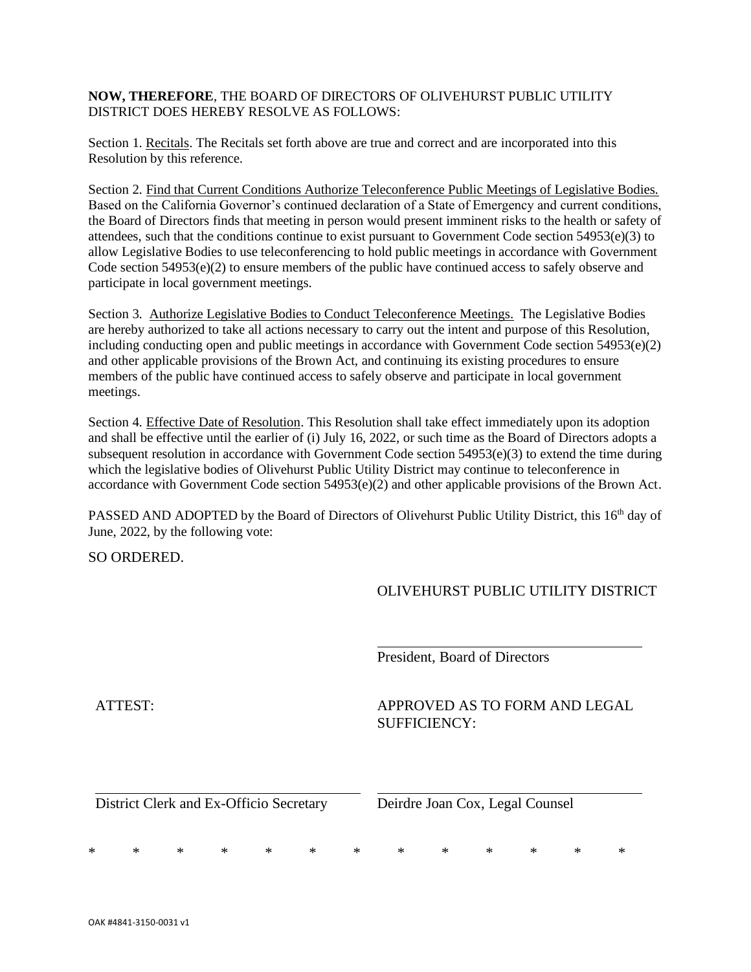**NOW, THEREFORE**, THE BOARD OF DIRECTORS OF OLIVEHURST PUBLIC UTILITY DISTRICT DOES HEREBY RESOLVE AS FOLLOWS:

Section 1. Recitals. The Recitals set forth above are true and correct and are incorporated into this Resolution by this reference.

Section 2. Find that Current Conditions Authorize Teleconference Public Meetings of Legislative Bodies. Based on the California Governor's continued declaration of a State of Emergency and current conditions, the Board of Directors finds that meeting in person would present imminent risks to the health or safety of attendees, such that the conditions continue to exist pursuant to Government Code section 54953(e)(3) to allow Legislative Bodies to use teleconferencing to hold public meetings in accordance with Government Code section 54953(e)(2) to ensure members of the public have continued access to safely observe and participate in local government meetings.

Section 3. Authorize Legislative Bodies to Conduct Teleconference Meetings. The Legislative Bodies are hereby authorized to take all actions necessary to carry out the intent and purpose of this Resolution, including conducting open and public meetings in accordance with Government Code section 54953(e)(2) and other applicable provisions of the Brown Act, and continuing its existing procedures to ensure members of the public have continued access to safely observe and participate in local government meetings.

Section 4. Effective Date of Resolution. This Resolution shall take effect immediately upon its adoption and shall be effective until the earlier of (i) July 16, 2022, or such time as the Board of Directors adopts a subsequent resolution in accordance with Government Code section 54953(e)(3) to extend the time during which the legislative bodies of Olivehurst Public Utility District may continue to teleconference in accordance with Government Code section 54953(e)(2) and other applicable provisions of the Brown Act.

PASSED AND ADOPTED by the Board of Directors of Olivehurst Public Utility District, this 16<sup>th</sup> day of June, 2022, by the following vote:

SO ORDERED.

OLIVEHURST PUBLIC UTILITY DISTRICT

President, Board of Directors

ATTEST: APPROVED AS TO FORM AND LEGAL SUFFICIENCY:

District Clerk and Ex-Officio Secretary Deirdre Joan Cox, Legal Counsel

\* \* \* \* \* \* \* \* \* \* \* \* \*